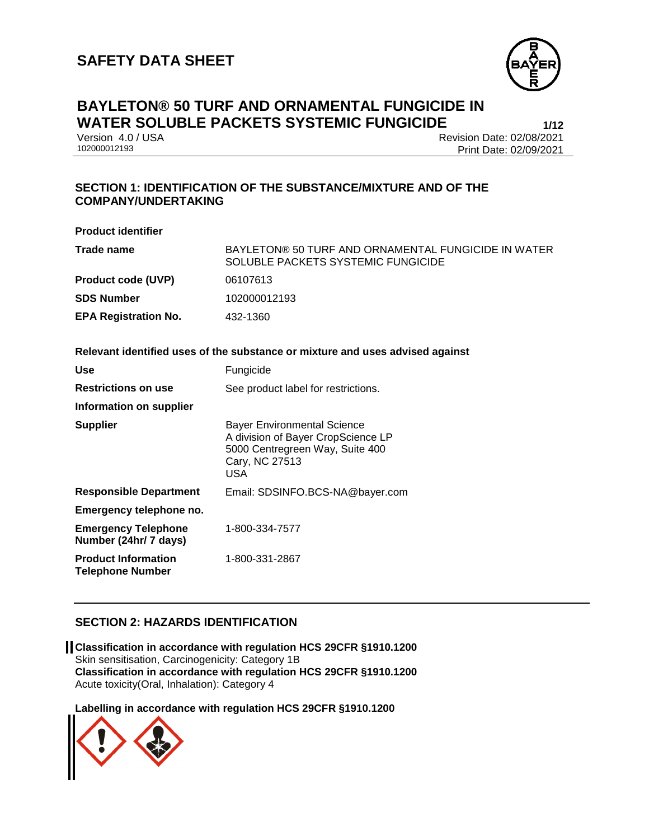

# **BAYLETON® 50 TURF AND ORNAMENTAL FUNGICIDE IN WATER SOLUBLE PACKETS SYSTEMIC FUNGICIDE**<br>**1/12** Version 4.0 / USA<br>**Revision Date: 02/08/2021**

Version 4.0 / USA Revision Date: 02/08/2021<br>102000012193 Print Date: 02/09/2021 Print Date: 02/09/2021

### **SECTION 1: IDENTIFICATION OF THE SUBSTANCE/MIXTURE AND OF THE COMPANY/UNDERTAKING**

| <b>Product identifier</b>                                                     |                                                                                           |  |  |
|-------------------------------------------------------------------------------|-------------------------------------------------------------------------------------------|--|--|
| Trade name                                                                    | BAYLETON® 50 TURF AND ORNAMENTAL FUNGICIDE IN WATER<br>SOLUBLE PACKETS SYSTEMIC FUNGICIDE |  |  |
| <b>Product code (UVP)</b>                                                     | 06107613                                                                                  |  |  |
| <b>SDS Number</b>                                                             | 102000012193                                                                              |  |  |
| <b>EPA Registration No.</b>                                                   | 432-1360                                                                                  |  |  |
|                                                                               |                                                                                           |  |  |
| Relevant identified uses of the substance or mixture and uses advised against |                                                                                           |  |  |
| <b>Use</b>                                                                    | Fungicide                                                                                 |  |  |
| <b>Restrictions on use</b>                                                    | See product label for restrictions.                                                       |  |  |
| Information on supplier                                                       |                                                                                           |  |  |
| <b>Supplier</b>                                                               | <b>Bayer Environmental Science</b><br>A division of Dover CropCoiongs LD                  |  |  |

| A division of Bayer CropScience LP<br>5000 Centregreen Way, Suite 400<br>Cary, NC 27513<br>USA |
|------------------------------------------------------------------------------------------------|
| Email: SDSINFO.BCS-NA@bayer.com                                                                |
|                                                                                                |
| 1-800-334-7577                                                                                 |
| 1-800-331-2867                                                                                 |
|                                                                                                |

### **SECTION 2: HAZARDS IDENTIFICATION**

**Classification in accordance with regulation HCS 29CFR §1910.1200** Skin sensitisation, Carcinogenicity: Category 1B **Classification in accordance with regulation HCS 29CFR §1910.1200** Acute toxicity(Oral, Inhalation): Category 4

**Labelling in accordance with regulation HCS 29CFR §1910.1200**

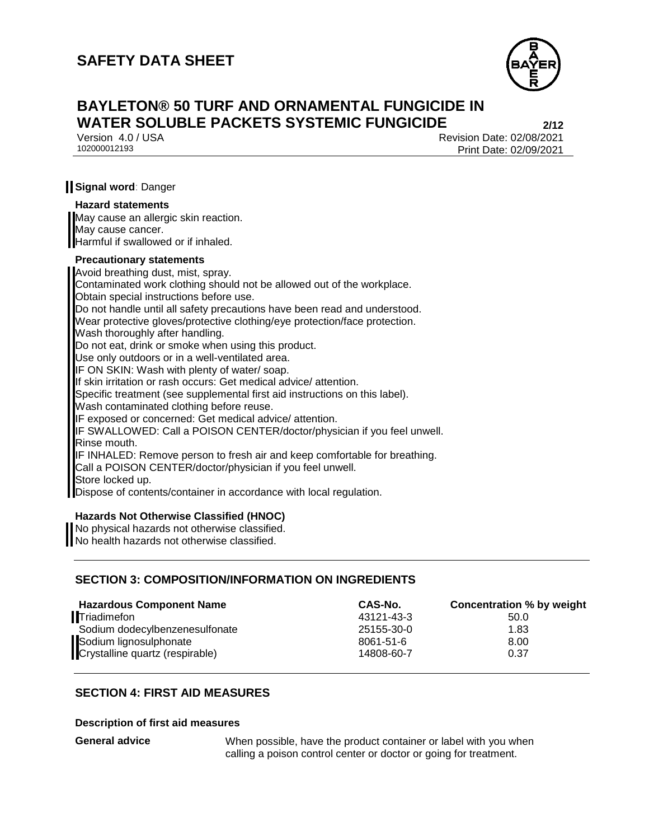

## **BAYLETON® 50 TURF AND ORNAMENTAL FUNGICIDE IN WATER SOLUBLE PACKETS SYSTEMIC FUNGICIDE 2/12**

Version 4.0 / USA Revision Date: 02/08/2021 Print Date: 02/09/2021

### **Signal word**: Danger

#### **Hazard statements**

May cause an allergic skin reaction. May cause cancer. Harmful if swallowed or if inhaled.

#### **Precautionary statements**

Avoid breathing dust, mist, spray. Contaminated work clothing should not be allowed out of the workplace. Obtain special instructions before use. Do not handle until all safety precautions have been read and understood. Wear protective gloves/protective clothing/eye protection/face protection. Wash thoroughly after handling. Do not eat, drink or smoke when using this product. Use only outdoors or in a well-ventilated area. IF ON SKIN: Wash with plenty of water/ soap. If skin irritation or rash occurs: Get medical advice/ attention. Specific treatment (see supplemental first aid instructions on this label). Wash contaminated clothing before reuse. IF exposed or concerned: Get medical advice/ attention. IF SWALLOWED: Call a POISON CENTER/doctor/physician if you feel unwell. Rinse mouth. IF INHALED: Remove person to fresh air and keep comfortable for breathing. Call a POISON CENTER/doctor/physician if you feel unwell. Store locked up. Dispose of contents/container in accordance with local regulation.

#### **Hazards Not Otherwise Classified (HNOC)**

No physical hazards not otherwise classified. No health hazards not otherwise classified.

### **SECTION 3: COMPOSITION/INFORMATION ON INGREDIENTS**

| <b>Hazardous Component Name</b>                           | CAS-No.    | Concentration % by weight |
|-----------------------------------------------------------|------------|---------------------------|
| <b>Triadimefon</b>                                        | 43121-43-3 | 50.0                      |
| Sodium dodecylbenzenesulfonate                            | 25155-30-0 | 1.83                      |
|                                                           | 8061-51-6  | 8.00                      |
| Sodium lignosulphonate<br>Crystalline quartz (respirable) | 14808-60-7 | 0.37                      |

### **SECTION 4: FIRST AID MEASURES**

#### **Description of first aid measures**

**General advice** When possible, have the product container or label with you when calling a poison control center or doctor or going for treatment.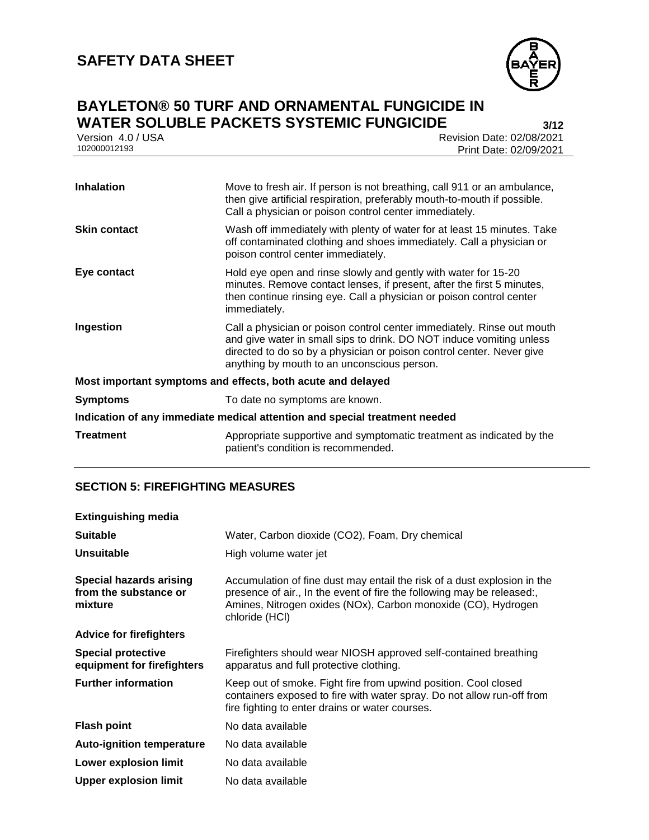

# **BAYLETON® 50 TURF AND ORNAMENTAL FUNGICIDE IN WATER SOLUBLE PACKETS SYSTEMIC FUNGICIDE 3/12**

| Version 4.0 / USA | Revision Date: 02/08/2021 |
|-------------------|---------------------------|
| 102000012193      | Print Date: 02/09/2021    |
|                   |                           |

| <b>Inhalation</b>                                                          | Move to fresh air. If person is not breathing, call 911 or an ambulance,<br>then give artificial respiration, preferably mouth-to-mouth if possible.<br>Call a physician or poison control center immediately.                                                         |  |  |
|----------------------------------------------------------------------------|------------------------------------------------------------------------------------------------------------------------------------------------------------------------------------------------------------------------------------------------------------------------|--|--|
| <b>Skin contact</b>                                                        | Wash off immediately with plenty of water for at least 15 minutes. Take<br>off contaminated clothing and shoes immediately. Call a physician or<br>poison control center immediately.                                                                                  |  |  |
| Eye contact                                                                | Hold eye open and rinse slowly and gently with water for 15-20<br>minutes. Remove contact lenses, if present, after the first 5 minutes,<br>then continue rinsing eye. Call a physician or poison control center<br>immediately.                                       |  |  |
| Ingestion                                                                  | Call a physician or poison control center immediately. Rinse out mouth<br>and give water in small sips to drink. DO NOT induce vomiting unless<br>directed to do so by a physician or poison control center. Never give<br>anything by mouth to an unconscious person. |  |  |
| Most important symptoms and effects, both acute and delayed                |                                                                                                                                                                                                                                                                        |  |  |
| <b>Symptoms</b>                                                            | To date no symptoms are known.                                                                                                                                                                                                                                         |  |  |
| Indication of any immediate medical attention and special treatment needed |                                                                                                                                                                                                                                                                        |  |  |
| Treatment                                                                  | Appropriate supportive and symptomatic treatment as indicated by the<br>patient's condition is recommended.                                                                                                                                                            |  |  |

### **SECTION 5: FIREFIGHTING MEASURES**

| <b>Extinguishing media</b>                                         |                                                                                                                                                                                                                                       |  |  |
|--------------------------------------------------------------------|---------------------------------------------------------------------------------------------------------------------------------------------------------------------------------------------------------------------------------------|--|--|
| <b>Suitable</b>                                                    | Water, Carbon dioxide (CO2), Foam, Dry chemical                                                                                                                                                                                       |  |  |
| <b>Unsuitable</b>                                                  | High volume water jet                                                                                                                                                                                                                 |  |  |
| <b>Special hazards arising</b><br>from the substance or<br>mixture | Accumulation of fine dust may entail the risk of a dust explosion in the<br>presence of air., In the event of fire the following may be released:,<br>Amines, Nitrogen oxides (NOx), Carbon monoxide (CO), Hydrogen<br>chloride (HCI) |  |  |
| <b>Advice for firefighters</b>                                     |                                                                                                                                                                                                                                       |  |  |
| <b>Special protective</b><br>equipment for firefighters            | Firefighters should wear NIOSH approved self-contained breathing<br>apparatus and full protective clothing.                                                                                                                           |  |  |
| <b>Further information</b>                                         | Keep out of smoke. Fight fire from upwind position. Cool closed<br>containers exposed to fire with water spray. Do not allow run-off from<br>fire fighting to enter drains or water courses.                                          |  |  |
| <b>Flash point</b>                                                 | No data available                                                                                                                                                                                                                     |  |  |
| <b>Auto-ignition temperature</b>                                   | No data available                                                                                                                                                                                                                     |  |  |
| Lower explosion limit                                              | No data available                                                                                                                                                                                                                     |  |  |
| <b>Upper explosion limit</b>                                       | No data available                                                                                                                                                                                                                     |  |  |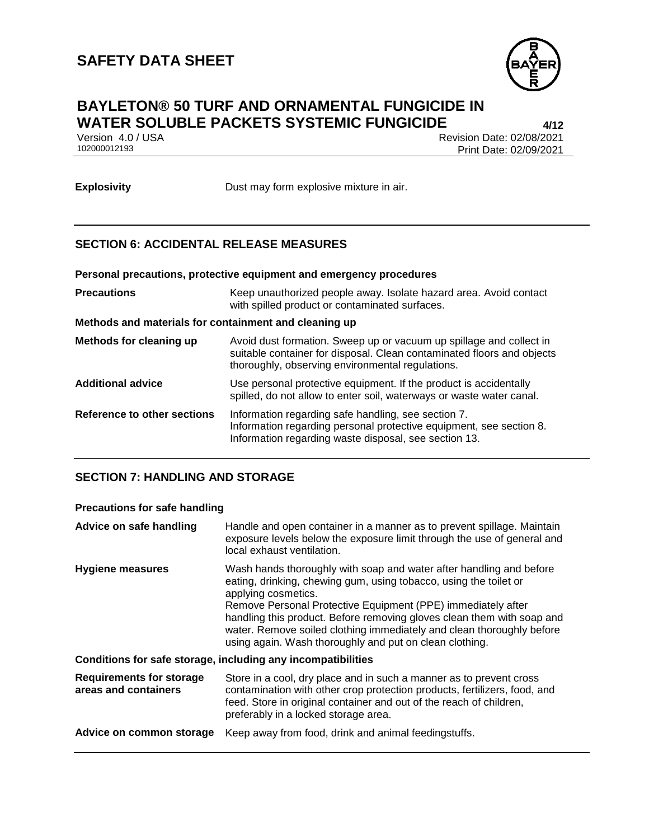

## **BAYLETON® 50 TURF AND ORNAMENTAL FUNGICIDE IN WATER SOLUBLE PACKETS SYSTEMIC FUNGICIDE 4/12**

Version 4.0 / USA Revision Date: 02/08/2021<br>102000012193 Print Date: 02/09/2021 Print Date: 02/09/2021

**Explosivity** Dust may form explosive mixture in air.

### **SECTION 6: ACCIDENTAL RELEASE MEASURES**

| Personal precautions, protective equipment and emergency procedures |                                                                                                                     |  |
|---------------------------------------------------------------------|---------------------------------------------------------------------------------------------------------------------|--|
| Precautions                                                         | Keep unauthorized people away. Isolate hazard area. Avoid contact<br>with spilled product or contaminated surfaces. |  |

#### **Methods and materials for containment and cleaning up**

| <b>Methods for cleaning up</b> | Avoid dust formation. Sweep up or vacuum up spillage and collect in<br>suitable container for disposal. Clean contaminated floors and objects<br>thoroughly, observing environmental regulations. |
|--------------------------------|---------------------------------------------------------------------------------------------------------------------------------------------------------------------------------------------------|
| <b>Additional advice</b>       | Use personal protective equipment. If the product is accidentally<br>spilled, do not allow to enter soil, waterways or waste water canal.                                                         |
| Reference to other sections    | Information regarding safe handling, see section 7.<br>Information regarding personal protective equipment, see section 8.<br>Information regarding waste disposal, see section 13.               |

### **SECTION 7: HANDLING AND STORAGE**

### **Precautions for safe handling**

| Advice on safe handling                                      | Handle and open container in a manner as to prevent spillage. Maintain<br>exposure levels below the exposure limit through the use of general and<br>local exhaust ventilation.                                                                                                                                                                                                                                                               |  |  |
|--------------------------------------------------------------|-----------------------------------------------------------------------------------------------------------------------------------------------------------------------------------------------------------------------------------------------------------------------------------------------------------------------------------------------------------------------------------------------------------------------------------------------|--|--|
| <b>Hygiene measures</b>                                      | Wash hands thoroughly with soap and water after handling and before<br>eating, drinking, chewing gum, using tobacco, using the toilet or<br>applying cosmetics.<br>Remove Personal Protective Equipment (PPE) immediately after<br>handling this product. Before removing gloves clean them with soap and<br>water. Remove soiled clothing immediately and clean thoroughly before<br>using again. Wash thoroughly and put on clean clothing. |  |  |
| Conditions for safe storage, including any incompatibilities |                                                                                                                                                                                                                                                                                                                                                                                                                                               |  |  |
| <b>Requirements for storage</b><br>areas and containers      | Store in a cool, dry place and in such a manner as to prevent cross<br>contamination with other crop protection products, fertilizers, food, and<br>feed. Store in original container and out of the reach of children,<br>preferably in a locked storage area.                                                                                                                                                                               |  |  |
| Advice on common storage                                     | Keep away from food, drink and animal feedingstuffs.                                                                                                                                                                                                                                                                                                                                                                                          |  |  |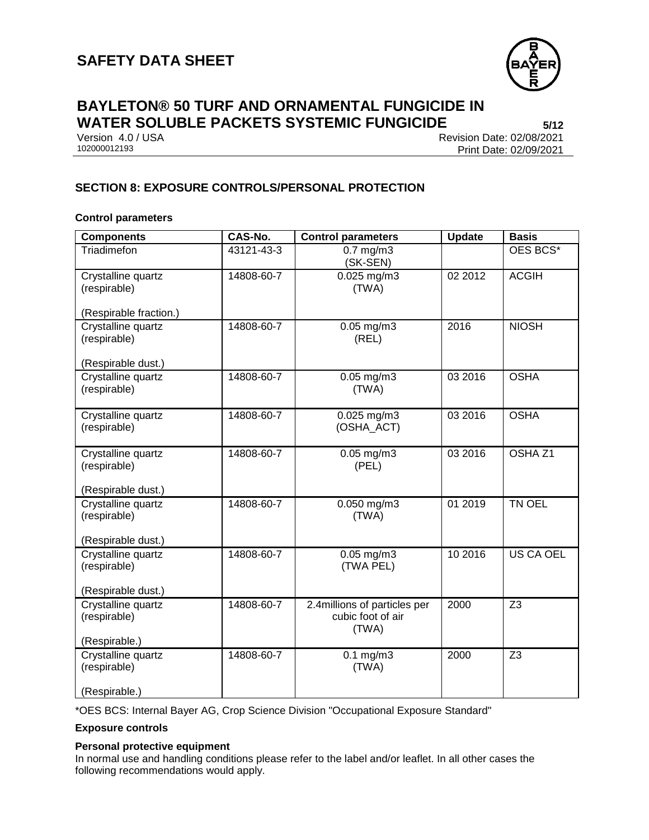

# **BAYLETON® 50 TURF AND ORNAMENTAL FUNGICIDE IN WATER SOLUBLE PACKETS SYSTEMIC FUNGICIDE 5/12**

Version 4.0 / USA Revision Date: 02/08/2021<br>102000012193 Print Date: 02/09/2021 Print Date: 02/09/2021

### **SECTION 8: EXPOSURE CONTROLS/PERSONAL PROTECTION**

### **Control parameters**

| <b>Components</b>                                        | CAS-No.    | <b>Control parameters</b>    | <b>Update</b> | <b>Basis</b>       |
|----------------------------------------------------------|------------|------------------------------|---------------|--------------------|
| Triadimefon                                              | 43121-43-3 | $0.7$ mg/m $3$<br>(SK-SEN)   |               | OES BCS*           |
| Crystalline quartz<br>(respirable)                       | 14808-60-7 | $0.025$ mg/m3<br>(TWA)       | 02 2012       | <b>ACGIH</b>       |
| (Respirable fraction.)                                   |            |                              |               |                    |
| Crystalline quartz<br>(respirable)                       | 14808-60-7 | $0.05$ mg/m3<br>(REL)        | 2016          | <b>NIOSH</b>       |
| (Respirable dust.)                                       |            |                              |               |                    |
| Crystalline quartz<br>(respirable)                       | 14808-60-7 | $0.05$ mg/m3<br>(TWA)        | 03 2016       | <b>OSHA</b>        |
| Crystalline quartz<br>(respirable)                       | 14808-60-7 | 0.025 mg/m3<br>(OSHA_ACT)    | 03 2016       | <b>OSHA</b>        |
| Crystalline quartz<br>(respirable)                       | 14808-60-7 | $0.05$ mg/m $3$<br>(PEL)     | 03 2016       | OSHA <sub>Z1</sub> |
| (Respirable dust.)                                       |            |                              |               |                    |
| Crystalline quartz<br>(respirable)                       | 14808-60-7 | $0.050$ mg/m3<br>(TWA)       | 01 2019       | TN OEL             |
| (Respirable dust.)                                       |            |                              |               |                    |
| Crystalline quartz<br>(respirable)<br>(Respirable dust.) | 14808-60-7 | $0.05$ mg/m3<br>(TWA PEL)    | 10 2016       | <b>US CA OEL</b>   |
| Crystalline quartz                                       | 14808-60-7 | 2.4millions of particles per | 2000          | $\overline{Z3}$    |
| (respirable)<br>(Respirable.)                            |            | cubic foot of air<br>(TWA)   |               |                    |
| Crystalline quartz<br>(respirable)<br>(Respirable.)      | 14808-60-7 | $0.1$ mg/m $3$<br>(TWA)      | 2000          | Z <sub>3</sub>     |

\*OES BCS: Internal Bayer AG, Crop Science Division "Occupational Exposure Standard"

#### **Exposure controls**

#### **Personal protective equipment**

In normal use and handling conditions please refer to the label and/or leaflet. In all other cases the following recommendations would apply.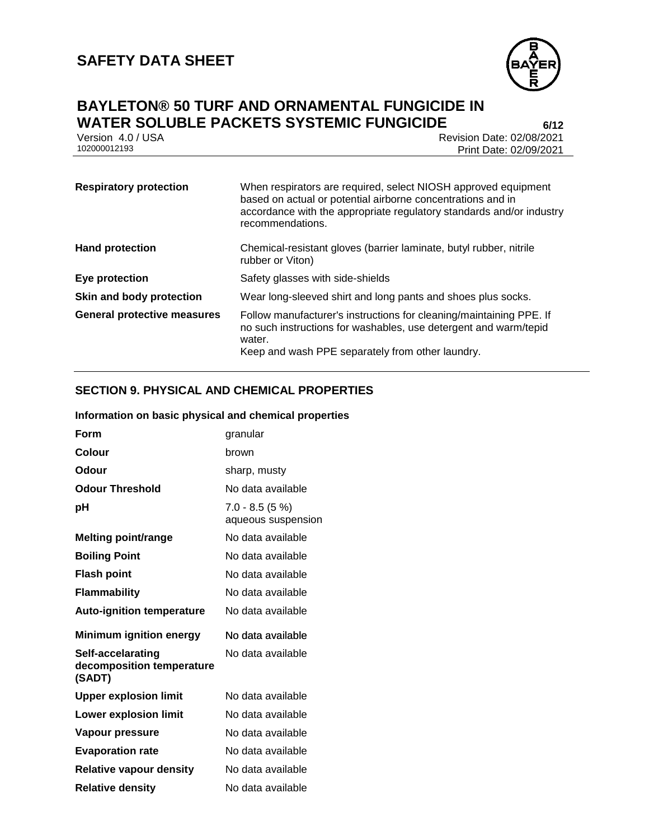

# **BAYLETON® 50 TURF AND ORNAMENTAL FUNGICIDE IN WATER SOLUBLE PACKETS SYSTEMIC FUNGICIDE**<br>**1.0/USA** Version 4.0/USA<br>**Revision Date: 02/08/2021**

Version 4.0 / USA Revision Date: 02/08/2021<br>102000012193 Print Date: 02/09/2021 Print Date: 02/09/2021

| <b>Respiratory protection</b>      | When respirators are required, select NIOSH approved equipment<br>based on actual or potential airborne concentrations and in<br>accordance with the appropriate regulatory standards and/or industry<br>recommendations. |
|------------------------------------|---------------------------------------------------------------------------------------------------------------------------------------------------------------------------------------------------------------------------|
| <b>Hand protection</b>             | Chemical-resistant gloves (barrier laminate, butyl rubber, nitrile<br>rubber or Viton)                                                                                                                                    |
| Eye protection                     | Safety glasses with side-shields                                                                                                                                                                                          |
| Skin and body protection           | Wear long-sleeved shirt and long pants and shoes plus socks.                                                                                                                                                              |
| <b>General protective measures</b> | Follow manufacturer's instructions for cleaning/maintaining PPE. If<br>no such instructions for washables, use detergent and warm/tepid<br>water.<br>Keep and wash PPE separately from other laundry.                     |

### **SECTION 9. PHYSICAL AND CHEMICAL PROPERTIES**

#### **Information on basic physical and chemical properties**

| Form                                                     | granular                              |
|----------------------------------------------------------|---------------------------------------|
| Colour                                                   | brown                                 |
| Odour                                                    | sharp, musty                          |
| <b>Odour Threshold</b>                                   | No data available                     |
| рH                                                       | $7.0 - 8.5(5%)$<br>aqueous suspension |
| <b>Melting point/range</b>                               | No data available                     |
| <b>Boiling Point</b>                                     | No data available                     |
| <b>Flash point</b>                                       | No data available                     |
| <b>Flammability</b>                                      | No data available                     |
| <b>Auto-ignition temperature</b>                         | No data available                     |
| <b>Minimum ignition energy</b>                           | No data available                     |
| Self-accelarating<br>decomposition temperature<br>(SADT) | No data available                     |
| <b>Upper explosion limit</b>                             | No data available                     |
| <b>Lower explosion limit</b>                             | No data available                     |
| Vapour pressure                                          | No data available                     |
| <b>Evaporation rate</b>                                  | No data available                     |
| <b>Relative vapour density</b>                           | No data available                     |
| <b>Relative density</b>                                  | No data available                     |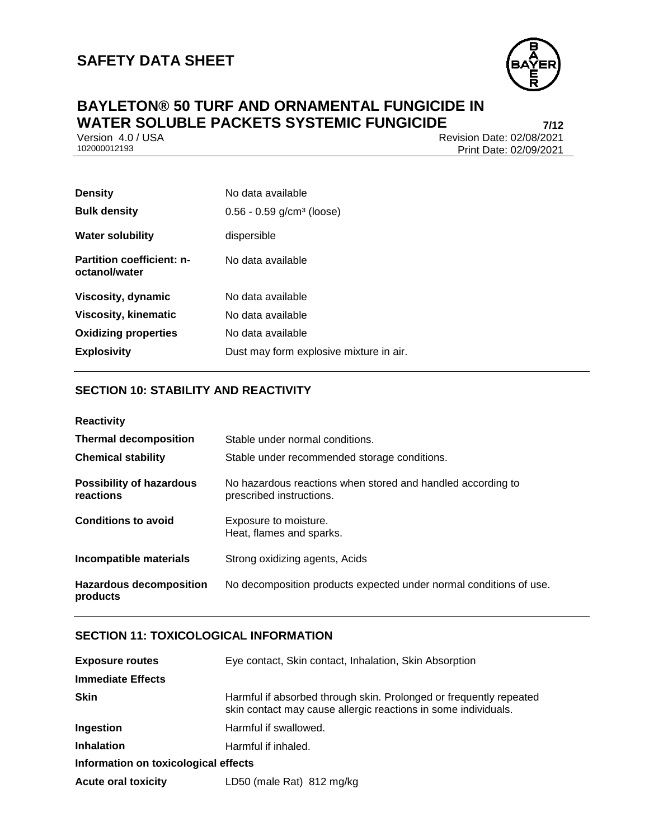

# **BAYLETON® 50 TURF AND ORNAMENTAL FUNGICIDE IN WATER SOLUBLE PACKETS SYSTEMIC FUNGICIDE**<br>**1/12** Version 4.0 / USA<br>**Revision Date: 02/08/2021**

Version 4.0 / USA Revision Date: 02/08/2021<br>102000012193 Print Date: 02/09/2021 Print Date: 02/09/2021

| <b>Density</b>                                    | No data available                       |
|---------------------------------------------------|-----------------------------------------|
| <b>Bulk density</b>                               | $0.56 - 0.59$ g/cm <sup>3</sup> (loose) |
| <b>Water solubility</b>                           | dispersible                             |
| <b>Partition coefficient: n-</b><br>octanol/water | No data available                       |
| Viscosity, dynamic                                | No data available                       |
| <b>Viscosity, kinematic</b>                       | No data available                       |
| <b>Oxidizing properties</b>                       | No data available                       |
| <b>Explosivity</b>                                | Dust may form explosive mixture in air. |

### **SECTION 10: STABILITY AND REACTIVITY**

| <b>Reactivity</b>                            |                                                                                         |
|----------------------------------------------|-----------------------------------------------------------------------------------------|
| <b>Thermal decomposition</b>                 | Stable under normal conditions.                                                         |
| <b>Chemical stability</b>                    | Stable under recommended storage conditions.                                            |
| <b>Possibility of hazardous</b><br>reactions | No hazardous reactions when stored and handled according to<br>prescribed instructions. |
| <b>Conditions to avoid</b>                   | Exposure to moisture.<br>Heat, flames and sparks.                                       |
| Incompatible materials                       | Strong oxidizing agents, Acids                                                          |
| <b>Hazardous decomposition</b><br>products   | No decomposition products expected under normal conditions of use.                      |

### **SECTION 11: TOXICOLOGICAL INFORMATION**

| <b>Exposure routes</b>               | Eye contact, Skin contact, Inhalation, Skin Absorption                                                                               |  |  |
|--------------------------------------|--------------------------------------------------------------------------------------------------------------------------------------|--|--|
| <b>Immediate Effects</b>             |                                                                                                                                      |  |  |
| <b>Skin</b>                          | Harmful if absorbed through skin. Prolonged or frequently repeated<br>skin contact may cause allergic reactions in some individuals. |  |  |
| Ingestion                            | Harmful if swallowed.                                                                                                                |  |  |
| <b>Inhalation</b>                    | Harmful if inhaled.                                                                                                                  |  |  |
| Information on toxicological effects |                                                                                                                                      |  |  |
| <b>Acute oral toxicity</b>           | LD50 (male Rat) 812 mg/kg                                                                                                            |  |  |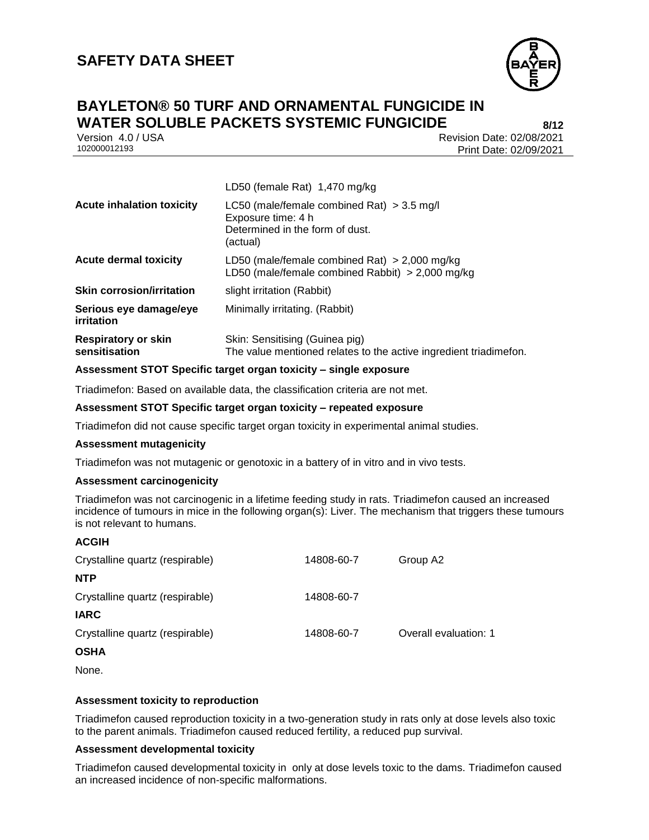

### **BAYLETON® 50 TURF AND ORNAMENTAL FUNGICIDE IN WATER SOLUBLE PACKETS SYSTEMIC FUNGICIDE 8/12**

Version 4.0 / USA Revision Date: 02/08/2021 Print Date: 02/09/2021

|                                             | LDJV (ICIIIAIC INAI) - 1,470 IIIQ/NG                                                                              |
|---------------------------------------------|-------------------------------------------------------------------------------------------------------------------|
| <b>Acute inhalation toxicity</b>            | LC50 (male/female combined Rat) $>$ 3.5 mg/l<br>Exposure time: 4 h<br>Determined in the form of dust.<br>(actual) |
| <b>Acute dermal toxicity</b>                | LD50 (male/female combined Rat) $>$ 2,000 mg/kg<br>LD50 (male/female combined Rabbit) $>$ 2,000 mg/kg             |
| <b>Skin corrosion/irritation</b>            | slight irritation (Rabbit)                                                                                        |
| Serious eye damage/eye<br>irritation        | Minimally irritating. (Rabbit)                                                                                    |
| <b>Respiratory or skin</b><br>sensitisation | Skin: Sensitising (Guinea pig)<br>The value mentioned relates to the active ingredient triadimefon.               |

 $LDEO$  (female  $Det$ ) 1,470 mg/kg

#### **Assessment STOT Specific target organ toxicity – single exposure**

Triadimefon: Based on available data, the classification criteria are not met.

#### **Assessment STOT Specific target organ toxicity – repeated exposure**

Triadimefon did not cause specific target organ toxicity in experimental animal studies.

#### **Assessment mutagenicity**

Triadimefon was not mutagenic or genotoxic in a battery of in vitro and in vivo tests.

#### **Assessment carcinogenicity**

Triadimefon was not carcinogenic in a lifetime feeding study in rats. Triadimefon caused an increased incidence of tumours in mice in the following organ(s): Liver. The mechanism that triggers these tumours is not relevant to humans.

#### **ACGIH**

| Crystalline quartz (respirable) | 14808-60-7 | Group A2              |
|---------------------------------|------------|-----------------------|
| <b>NTP</b>                      |            |                       |
| Crystalline quartz (respirable) | 14808-60-7 |                       |
| <b>IARC</b>                     |            |                       |
| Crystalline quartz (respirable) | 14808-60-7 | Overall evaluation: 1 |
| <b>OSHA</b>                     |            |                       |

None.

#### **Assessment toxicity to reproduction**

Triadimefon caused reproduction toxicity in a two-generation study in rats only at dose levels also toxic to the parent animals. Triadimefon caused reduced fertility, a reduced pup survival.

#### **Assessment developmental toxicity**

Triadimefon caused developmental toxicity in only at dose levels toxic to the dams. Triadimefon caused an increased incidence of non-specific malformations.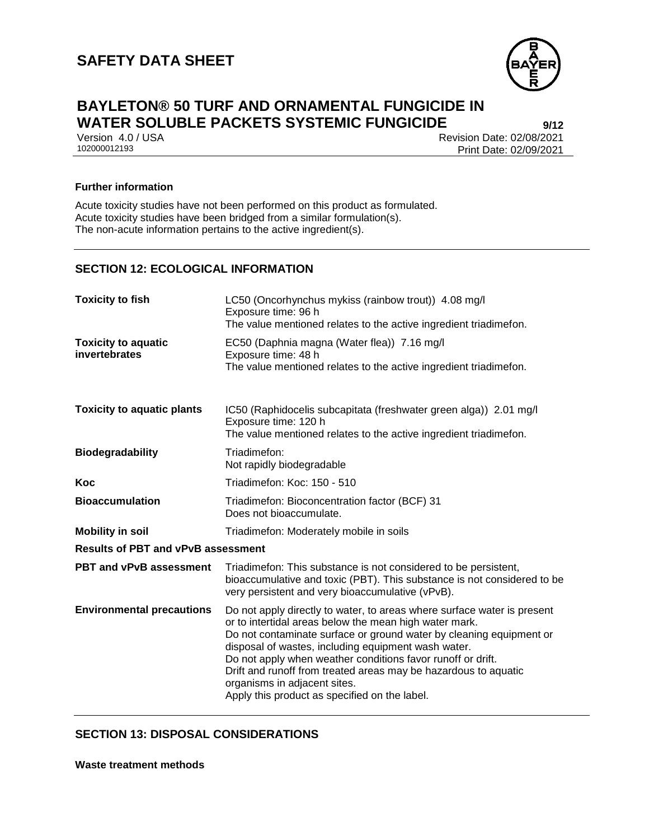

# **BAYLETON® 50 TURF AND ORNAMENTAL FUNGICIDE IN WATER SOLUBLE PACKETS SYSTEMIC FUNGICIDE 9/12**

Version 4.0 / USA Revision Date: 02/08/2021<br>102000012193 Print Date: 02/09/2021 Print Date: 02/09/2021

#### **Further information**

Acute toxicity studies have not been performed on this product as formulated. Acute toxicity studies have been bridged from a similar formulation(s). The non-acute information pertains to the active ingredient(s).

### **SECTION 12: ECOLOGICAL INFORMATION**

| <b>Toxicity to fish</b>                     | LC50 (Oncorhynchus mykiss (rainbow trout)) 4.08 mg/l<br>Exposure time: 96 h<br>The value mentioned relates to the active ingredient triadimefon.                                                                                                                                                                                                                                                                                                                                   |  |  |
|---------------------------------------------|------------------------------------------------------------------------------------------------------------------------------------------------------------------------------------------------------------------------------------------------------------------------------------------------------------------------------------------------------------------------------------------------------------------------------------------------------------------------------------|--|--|
| <b>Toxicity to aquatic</b><br>invertebrates | EC50 (Daphnia magna (Water flea)) 7.16 mg/l<br>Exposure time: 48 h<br>The value mentioned relates to the active ingredient triadimefon.                                                                                                                                                                                                                                                                                                                                            |  |  |
| <b>Toxicity to aquatic plants</b>           | IC50 (Raphidocelis subcapitata (freshwater green alga)) 2.01 mg/l<br>Exposure time: 120 h<br>The value mentioned relates to the active ingredient triadimefon.                                                                                                                                                                                                                                                                                                                     |  |  |
| <b>Biodegradability</b>                     | Triadimefon:<br>Not rapidly biodegradable                                                                                                                                                                                                                                                                                                                                                                                                                                          |  |  |
| Koc                                         | Triadimefon: Koc: 150 - 510                                                                                                                                                                                                                                                                                                                                                                                                                                                        |  |  |
| <b>Bioaccumulation</b>                      | Triadimefon: Bioconcentration factor (BCF) 31<br>Does not bioaccumulate.                                                                                                                                                                                                                                                                                                                                                                                                           |  |  |
| <b>Mobility in soil</b>                     | Triadimefon: Moderately mobile in soils                                                                                                                                                                                                                                                                                                                                                                                                                                            |  |  |
| <b>Results of PBT and vPvB assessment</b>   |                                                                                                                                                                                                                                                                                                                                                                                                                                                                                    |  |  |
| PBT and vPvB assessment                     | Triadimefon: This substance is not considered to be persistent,<br>bioaccumulative and toxic (PBT). This substance is not considered to be<br>very persistent and very bioaccumulative (vPvB).                                                                                                                                                                                                                                                                                     |  |  |
| <b>Environmental precautions</b>            | Do not apply directly to water, to areas where surface water is present<br>or to intertidal areas below the mean high water mark.<br>Do not contaminate surface or ground water by cleaning equipment or<br>disposal of wastes, including equipment wash water.<br>Do not apply when weather conditions favor runoff or drift.<br>Drift and runoff from treated areas may be hazardous to aquatic<br>organisms in adjacent sites.<br>Apply this product as specified on the label. |  |  |

### **SECTION 13: DISPOSAL CONSIDERATIONS**

**Waste treatment methods**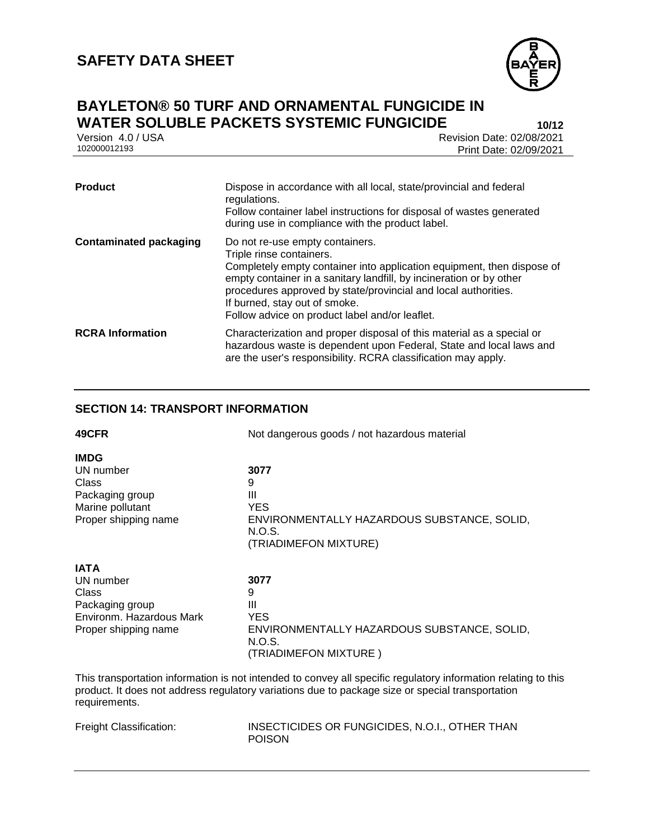

### **BAYLETON® 50 TURF AND ORNAMENTAL FUNGICIDE IN WATER SOLUBLE PACKETS SYSTEMIC FUNGICIDE**

Version 4.0 / USA Revision Date: 02/08/2021<br>102000012193 Print Date: 02/09/2021 Print Date: 02/09/2021

| <b>Product</b>                | Dispose in accordance with all local, state/provincial and federal<br>regulations.<br>Follow container label instructions for disposal of wastes generated<br>during use in compliance with the product label.                                                                                                                                                    |
|-------------------------------|-------------------------------------------------------------------------------------------------------------------------------------------------------------------------------------------------------------------------------------------------------------------------------------------------------------------------------------------------------------------|
| <b>Contaminated packaging</b> | Do not re-use empty containers.<br>Triple rinse containers.<br>Completely empty container into application equipment, then dispose of<br>empty container in a sanitary landfill, by incineration or by other<br>procedures approved by state/provincial and local authorities.<br>If burned, stay out of smoke.<br>Follow advice on product label and/or leaflet. |
| <b>RCRA Information</b>       | Characterization and proper disposal of this material as a special or<br>hazardous waste is dependent upon Federal, State and local laws and<br>are the user's responsibility. RCRA classification may apply.                                                                                                                                                     |

### **SECTION 14: TRANSPORT INFORMATION**

| 49CFR                | Not dangerous goods / not hazardous material          |  |
|----------------------|-------------------------------------------------------|--|
| <b>IMDG</b>          |                                                       |  |
| UN number            | 3077                                                  |  |
| Class                | 9                                                     |  |
| Packaging group      | Ш                                                     |  |
| Marine pollutant     | <b>YES</b>                                            |  |
| Proper shipping name | ENVIRONMENTALLY HAZARDOUS SUBSTANCE, SOLID,<br>N.O.S. |  |
|                      | (TRIADIMEFON MIXTURE)                                 |  |
| <b>IATA</b>          |                                                       |  |
| UN number            | 3077                                                  |  |
| <b>Class</b>         | 9                                                     |  |
| Dookoging aroun      | ш                                                     |  |

| Class                    | 9                                           |
|--------------------------|---------------------------------------------|
| Packaging group          | Ш                                           |
| Environm. Hazardous Mark | YES                                         |
| Proper shipping name     | ENVIRONMENTALLY HAZARDOUS SUBSTANCE, SOLID, |
|                          | N.O.S.                                      |
|                          | (TRIADIMEFON MIXTURE)                       |

This transportation information is not intended to convey all specific regulatory information relating to this product. It does not address regulatory variations due to package size or special transportation requirements.

| Freight Classification: |  |
|-------------------------|--|
|-------------------------|--|

INSECTICIDES OR FUNGICIDES, N.O.I., OTHER THAN POISON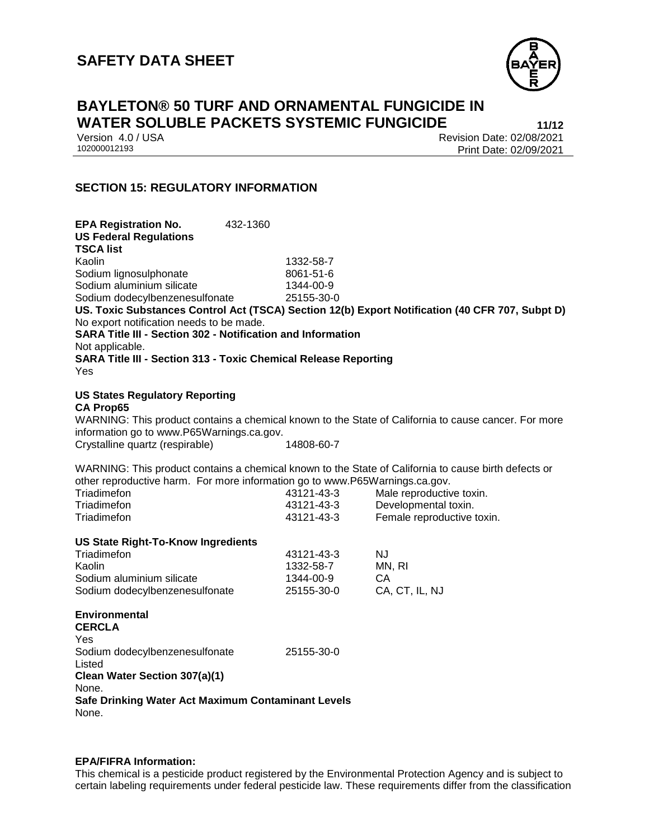

# **BAYLETON® 50 TURF AND ORNAMENTAL FUNGICIDE IN WATER SOLUBLE PACKETS SYSTEMIC FUNGICIDE 11/12**

Version 4.0 / USA Revision Date: 02/08/2021<br>102000012193 Print Date: 02/09/2021 Print Date: 02/09/2021

### **SECTION 15: REGULATORY INFORMATION**

| <b>EPA Registration No.</b><br><b>US Federal Regulations</b>                              | 432-1360 |            |                                                                                                      |
|-------------------------------------------------------------------------------------------|----------|------------|------------------------------------------------------------------------------------------------------|
| <b>TSCA list</b>                                                                          |          |            |                                                                                                      |
| Kaolin                                                                                    |          | 1332-58-7  |                                                                                                      |
| Sodium lignosulphonate                                                                    |          | 8061-51-6  |                                                                                                      |
| Sodium aluminium silicate                                                                 |          | 1344-00-9  |                                                                                                      |
| Sodium dodecylbenzenesulfonate                                                            |          | 25155-30-0 |                                                                                                      |
|                                                                                           |          |            | US. Toxic Substances Control Act (TSCA) Section 12(b) Export Notification (40 CFR 707, Subpt D)      |
| No export notification needs to be made.                                                  |          |            |                                                                                                      |
| SARA Title III - Section 302 - Notification and Information                               |          |            |                                                                                                      |
| Not applicable.<br><b>SARA Title III - Section 313 - Toxic Chemical Release Reporting</b> |          |            |                                                                                                      |
| Yes                                                                                       |          |            |                                                                                                      |
|                                                                                           |          |            |                                                                                                      |
| <b>US States Regulatory Reporting</b><br><b>CA Prop65</b>                                 |          |            |                                                                                                      |
|                                                                                           |          |            | WARNING: This product contains a chemical known to the State of California to cause cancer. For more |
| information go to www.P65Warnings.ca.gov.                                                 |          |            |                                                                                                      |
| Crystalline quartz (respirable)                                                           |          | 14808-60-7 |                                                                                                      |
|                                                                                           |          |            |                                                                                                      |
| other reproductive harm. For more information go to www.P65Warnings.ca.gov.               |          |            | WARNING: This product contains a chemical known to the State of California to cause birth defects or |
| Triadimefon                                                                               |          | 43121-43-3 | Male reproductive toxin.                                                                             |
| Triadimefon                                                                               |          | 43121-43-3 | Developmental toxin.                                                                                 |
| Triadimefon                                                                               |          | 43121-43-3 | Female reproductive toxin.                                                                           |
|                                                                                           |          |            |                                                                                                      |
| <b>US State Right-To-Know Ingredients</b>                                                 |          |            |                                                                                                      |
| Triadimefon                                                                               |          | 43121-43-3 | <b>NJ</b>                                                                                            |
| Kaolin                                                                                    |          | 1332-58-7  | MN, RI                                                                                               |
| Sodium aluminium silicate                                                                 |          | 1344-00-9  | CA                                                                                                   |
| Sodium dodecylbenzenesulfonate                                                            |          | 25155-30-0 | CA, CT, IL, NJ                                                                                       |
| <b>Environmental</b>                                                                      |          |            |                                                                                                      |
| <b>CERCLA</b>                                                                             |          |            |                                                                                                      |
| Yes                                                                                       |          |            |                                                                                                      |
| Sodium dodecylbenzenesulfonate<br>Listed                                                  |          | 25155-30-0 |                                                                                                      |
| Clean Water Section 307(a)(1)                                                             |          |            |                                                                                                      |
| None.                                                                                     |          |            |                                                                                                      |
| Safe Drinking Water Act Maximum Contaminant Levels                                        |          |            |                                                                                                      |
| None.                                                                                     |          |            |                                                                                                      |
|                                                                                           |          |            |                                                                                                      |

#### **EPA/FIFRA Information:**

This chemical is a pesticide product registered by the Environmental Protection Agency and is subject to certain labeling requirements under federal pesticide law. These requirements differ from the classification